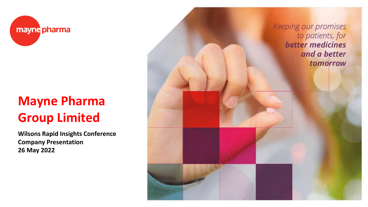

# **Mayne Pharma Group Limited**

**Wilsons Rapid Insights Conference Company Presentation 26 May 2022**

Keeping our promises to patients, for better medicines and a better tomorrow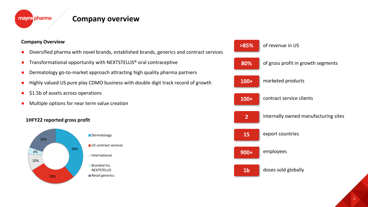

### **Company overview**

#### **Company Overview**

- Diversified pharma with novel brands, established brands, generics and contract services
- Transformational opportunity with NEXTSTELLIS<sup>®</sup> oral contraceptive
- Dermatology go-to-market approach attracting high quality pharma partners
- Highly valued US pure play CDMO business with double digit track record of growth
- \$1.5b of assets across operations
- Multiple options for near term value creation

#### **1HFY22 reported gross profit**



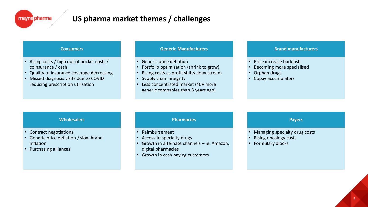### **US pharma market themes / challenges**

#### **Consumers**

- Rising costs / high out of pocket costs / coinsurance / cash
- Quality of insurance coverage decreasing
- Missed diagnosis visits due to COVID reducing prescription utilisation

#### **Generic Manufacturers**

- Generic price deflation
- Portfolio optimisation (shrink to grow)
- Rising costs as profit shifts downstream
- Supply chain integrity
- Less concentrated market (40+ more generic companies than 5 years ago)

#### **Brand manufacturers**

- Price increase backlash
- Becoming more specialised
- Orphan drugs
- Copay accumulators

#### **Wholesalers**

- Contract negotiations
- Generic price deflation / slow brand inflation
- Purchasing alliances

#### **Pharmacies**

- Reimbursement
- Access to specialty drugs
- Growth in alternate channels ie. Amazon, digital pharmacies
- Growth in cash paying customers

#### **Payers**

- Managing specialty drug costs
- Rising oncology costs
- Formulary blocks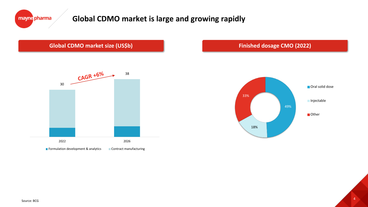

### **Global CDMO market is large and growing rapidly**

### **Global CDMO market size (US\$b) Example 2022 Finished dosage CMO (2022)**



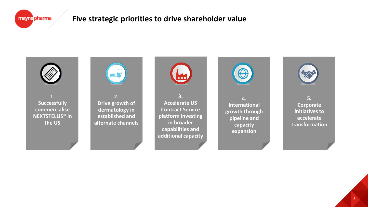### **Five strategic priorities to drive shareholder value**



**1. Successfully commercialise NEXTSTELLIS® in the US**



**2. Drive growth of dermatology in established and alternate channels**



**3. Accelerate US Contract Service platform investing in broader capabilities and additional capacity** 



**4. International growth through pipeline and capacity expansion**



**5. Corporate initiatives to accelerate transformation**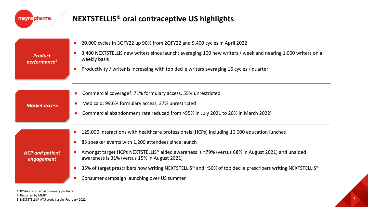| mayne pharma                               | <b>NEXTSTELLIS<sup>®</sup> oral contraceptive US highlights</b>                                                                                                                                                                                                                                                                                                                                                                                                                  |
|--------------------------------------------|----------------------------------------------------------------------------------------------------------------------------------------------------------------------------------------------------------------------------------------------------------------------------------------------------------------------------------------------------------------------------------------------------------------------------------------------------------------------------------|
| <b>Product</b><br>performance <sup>1</sup> | 20,000 cycles in 3QFY22 up 90% from 2QFY22 and 9,400 cycles in April 2022<br>$\bullet$<br>3,400 NEXTSTELLIS new writers since launch; averaging 100 new writers / week and nearing 1,000 writers on a<br>weekly basis<br>Productivity / writer is increasing with top decile writers averaging 16 cycles / quarter<br>$\bullet$                                                                                                                                                  |
| <b>Market access</b>                       | Commercial coverage <sup>2</sup> : 71% formulary access, 55% unrestricted<br>Medicaid: 99.6% formulary access, 37% unrestricted<br>Commercial abandonment rate reduced from >55% in July 2021 to 20% in March 2022 <sup>1</sup>                                                                                                                                                                                                                                                  |
| <b>HCP and patient</b><br>engagement       | 125,000 interactions with healthcare professionals (HCPs) including 10,000 education lunches<br>85 speaker events with 1,200 attendees since launch<br>Amongst target HCPs NEXTSTELLIS® aided awareness is ~79% (versus 68% in August 2021) and unaided<br>awareness is 31% (versus 15% in August 2021) <sup>3</sup><br>35% of target prescribers now writing NEXTSTELLIS® and ~50% of top decile prescribers writing NEXTSTELLIS®<br>Consumer campaign launching over US summer |

1. IQVIA and internal pharmacy partners 2. Reported by MMIT 3. NEXTSTELLIS® ATU study results February 2022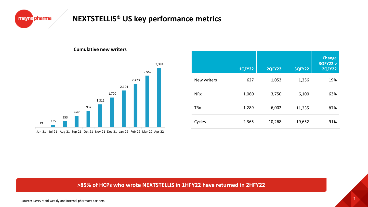

### **NEXTSTELLIS® US key performance metrics**

#### **Cumulative new writers**



|                       | <b>1QFY22</b> | <b>2QFY22</b> | <b>3QFY22</b> | <b>Change</b><br>3QFY22 v<br><b>2QFY22</b> |
|-----------------------|---------------|---------------|---------------|--------------------------------------------|
| New writers           | 627           | 1,053         | 1,256         | 19%                                        |
| <b>NR<sub>x</sub></b> | 1,060         | 3,750         | 6,100         | 63%                                        |
| <b>TRx</b>            | 1,289         | 6,002         | 11,235        | 87%                                        |
| Cycles                | 2,365         | 10,268        | 19,652        | 91%                                        |

#### **>85% of HCPs who wrote NEXTSTELLIS in 1HFY22 have returned in 2HFY22**

Source: IQVIA rapid weekly and internal pharmacy partners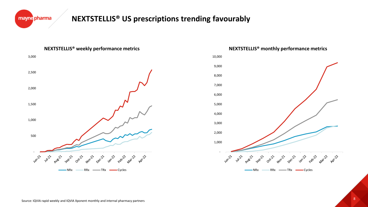

### **NEXTSTELLIS® US prescriptions trending favourably**





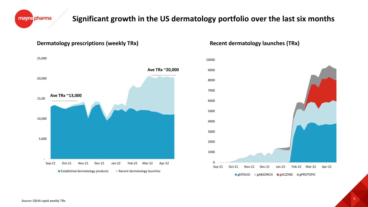

#### **Dermatology prescriptions (weekly TRx)**



#### **Recent dermatology launches (TRx)**



mayne pharma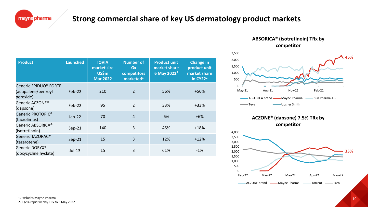### **Strong commercial share of key US dermatology product markets**

| <b>Product</b>                                           | <b>Launched</b> | <b>IQVIA</b><br>market size<br><b>US\$m</b><br><b>Mar 2022</b> | <b>Number of</b><br>Gx<br>competitors<br>marketed <sup>1</sup> | <b>Product unit</b><br>market share<br>6 May 2022 <sup>2</sup> | <b>Change in</b><br>product unit<br>market share<br>in CY22 <sup>2</sup> |
|----------------------------------------------------------|-----------------|----------------------------------------------------------------|----------------------------------------------------------------|----------------------------------------------------------------|--------------------------------------------------------------------------|
| Generic EPIDUO® FORTE<br>(adapalene/benzoyl<br>peroxide) | Feb-22          | 210                                                            | 2                                                              | 56%                                                            | +56%                                                                     |
| Generic ACZONE <sup>®</sup><br>(dapsone)                 | Feb-22          | 95                                                             | $\overline{2}$                                                 | 33%                                                            | $+33%$                                                                   |
| Generic PROTOPIC <sup>®</sup><br>(tacrolimus)            | $Jan-22$        | 70                                                             | $\overline{4}$                                                 | 6%                                                             | $+6%$                                                                    |
| Generic ABSORICA®<br>(isotretinoin)                      | $Sep-21$        | 140                                                            | 3                                                              | 45%                                                            | $+18%$                                                                   |
| Generic TAZORAC <sup>®</sup><br>(tazarotene)             | $Sep-21$        | 15                                                             | 3                                                              | 12%                                                            | $+12%$                                                                   |
| Generic DORYX <sup>®</sup><br>(doxycycline hyclate)      | Jul-13          | 15                                                             | 3                                                              | 61%                                                            | $-1\%$                                                                   |

**ABSORICA® (isotretinoin) TRx by competitor**





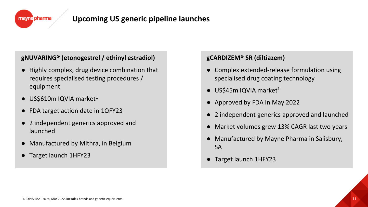

### **Upcoming US generic pipeline launches**

### **gNUVARING® (etonogestrel / ethinyl estradiol)**

- Highly complex, drug device combination that requires specialised testing procedures / equipment
- US\$610m IQVIA market $1$
- FDA target action date in 1QFY23
- 2 independent generics approved and launched
- Manufactured by Mithra, in Belgium
- Target launch 1HFY23

### **gCARDIZEM® SR (diltiazem)**

- Complex extended-release formulation using specialised drug coating technology
- $\bullet$  US\$45m IQVIA market<sup>1</sup>
- Approved by FDA in May 2022
- 2 independent generics approved and launched
- Market volumes grew 13% CAGR last two years
- Manufactured by Mayne Pharma in Salisbury, SA
- Target launch 1HFY23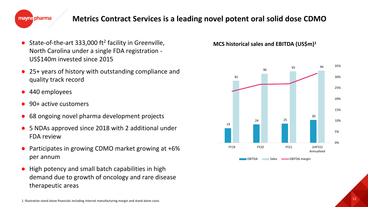

### **Metrics Contract Services is a leading novel potent oral solid dose CDMO**

- State-of-the-art 333,000 ft<sup>2</sup> facility in Greenville, North Carolina under a single FDA registration - US\$140m invested since 2015
- 25+ years of history with outstanding compliance and quality track record
- 440 employees
- 90+ active customers
- 68 ongoing novel pharma development projects
- 5 NDAs approved since 2018 with 2 additional under FDA review
- Participates in growing CDMO market growing at  $+6\%$ per annum
- High potency and small batch capabilities in high demand due to growth of oncology and rare disease therapeutic areas

**MCS historical sales and EBITDA (US\$m)1**

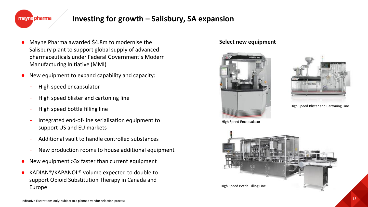### **Investing for growth – Salisbury, SA expansion**

- Mayne Pharma awarded \$4.8m to modernise the Salisbury plant to support global supply of advanced pharmaceuticals under Federal Government's Modern Manufacturing Initiative (MMI)
- New equipment to expand capability and capacity:
	- High speed encapsulator
	- High speed blister and cartoning line
	- High speed bottle filling line
	- Integrated end-of-line serialisation equipment to support US and EU markets
	- Additional vault to handle controlled substances
	- New production rooms to house additional equipment
- New equipment  $>3x$  faster than current equipment
- $KADIAN^{\circ}/KAPANOL^{\circ}$  volume expected to double to support Opioid Substitution Therapy in Canada and Europe

#### **Select new equipment**





High Speed Blister and Cartoning Line

High Speed Encapsulator

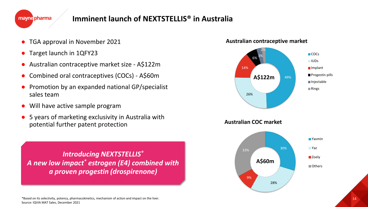### **Imminent launch of NEXTSTELLIS® in Australia**

- TGA approval in November 2021
- Target launch in 1QFY23
- Australian contraceptive market size A\$122m
- Combined oral contraceptives (COCs) A\$60m
- Promotion by an expanded national GP/specialist sales team
- Will have active sample program
- 5 years of marketing exclusivity in Australia with potential further patent protection

*Introducing NEXTSTELLIS® A new low impact\* estrogen (E4) combined with a proven progestin (drospirenone)*



\*Based on its selectivity, potency, pharmacokinetics, mechanism of action and impact on the liver. Source: IQVIA MAT Sales, December 2021